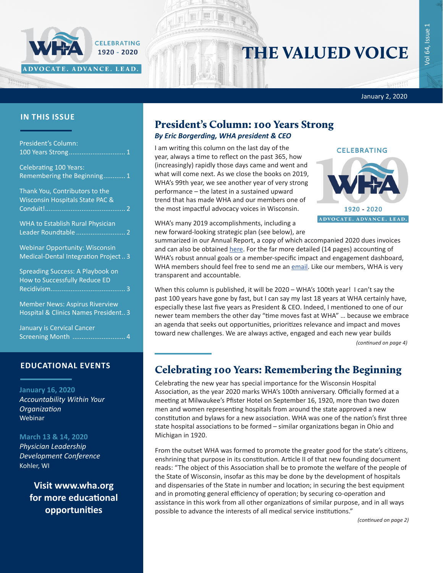January 2, 2020

### **IN THIS ISSUE**

| President's Column:                                                           |
|-------------------------------------------------------------------------------|
| <b>Celebrating 100 Years:</b><br>Remembering the Beginning 1                  |
| Thank You, Contributors to the<br>Wisconsin Hospitals State PAC &             |
| <b>WHA to Establish Rural Physician</b>                                       |
| <b>Webinar Opportunity: Wisconsin</b><br>Medical-Dental Integration Project3  |
| Spreading Success: A Playbook on<br>How to Successfully Reduce ED             |
| <b>Member News: Aspirus Riverview</b><br>Hospital & Clinics Names President 3 |
| January is Cervical Cancer                                                    |

ADVOCATE. ADVANCE. LEAD.

CELEBRATING 1920 - 2020

### **EDUCATIONAL EVENTS**

[Screening Month .............................](#page-3-0) 4

**January 16, 2020** *[Accountability Within Your](https://www.whareg4.org/IHA011620/)  [Organization](https://www.whareg4.org/IHA011620/)* Webinar

### **March 13 & 14, 2020**

*[Physician Leadership](https://www.whareg4.org/PLCD2020/)  [Development Conference](https://www.whareg4.org/PLCD2020/)* Kohler, WI

> **Visit [www.wha.org](https://www.wha.org/EducationandEvents) for more educational opportunities**

## President's Column: 100 Years Strong *By Eric Borgerding, WHA president & CEO*

I am writing this column on the last day of the year, always a time to reflect on the past 365, how (increasingly) rapidly those days came and went and what will come next. As we close the books on 2019, WHA's 99th year, we see another year of very strong performance – the latest in a sustained upward trend that has made WHA and our members one of the most impactful advocacy voices in Wisconsin.

WHA's many 2019 accomplishments, including a new forward-looking strategic plan (see below), are



THE VALUED VOICE

summarized in our Annual Report, a copy of which accompanied 2020 dues invoices and can also be obtained [here](https://www.wha.org/2019results). For the far more detailed (14 pages) accounting of WHA's robust annual goals or a member-specific impact and engagement dashboard, WHA members should feel free to send me an [email](mailto:eborgerding@wha.org). Like our members, WHA is very transparent and accountable.

When this column is published, it will be 2020 – WHA's 100th year! I can't say the past 100 years have gone by fast, but I can say my last 18 years at WHA certainly have, especially these last five years as President & CEO. Indeed, I mentioned to one of our newer team members the other day "time moves fast at WHA" … because we embrace an agenda that seeks out opportunities, prioritizes relevance and impact and moves toward new challenges. We are always active, engaged and each new year builds

*(continued on page 4)*

## Celebrating 100 Years: Remembering the Beginning

Celebrating the new year has special importance for the Wisconsin Hospital Association, as the year 2020 marks WHA's 100th anniversary. Officially formed at a meeting at Milwaukee's Pfister Hotel on September 16, 1920, more than two dozen men and women representing hospitals from around the state approved a new constitution and bylaws for a new association. WHA was one of the nation's first three state hospital associations to be formed – similar organizations began in Ohio and Michigan in 1920.

From the outset WHA was formed to promote the greater good for the state's citizens, enshrining that purpose in its constitution. Article II of that new founding document reads: "The object of this Association shall be to promote the welfare of the people of the State of Wisconsin, insofar as this may be done by the development of hospitals and dispensaries of the State in number and location; in securing the best equipment and in promoting general efficiency of operation; by securing co-operation and assistance in this work from all other organizations of similar purpose, and in all ways possible to advance the interests of all medical service institutions."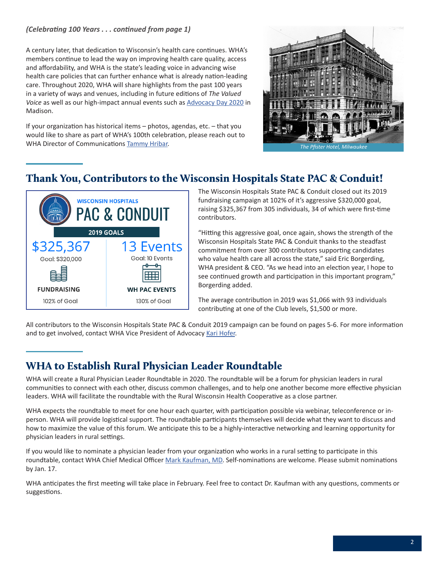### <span id="page-1-0"></span>*(Celebrating 100 Years . . . continued from page 1)*

A century later, that dedication to Wisconsin's health care continues. WHA's members continue to lead the way on improving health care quality, access and affordability, and WHA is the state's leading voice in advancing wise health care policies that can further enhance what is already nation-leading care. Throughout 2020, WHA will share highlights from the past 100 years in a variety of ways and venues, including in future editions of *The Valued Voice* as well as our high-impact annual events such as [Advocacy Day 2020](https://www.wha.org/Advocacy-Day) in Madison.

If your organization has historical items – photos, agendas, etc. – that you would like to share as part of WHA's 100th celebration, please reach out to WHA Director of Communications [Tammy Hribar.](mailto:thribar@wha.org)



## Thank You, Contributors to the Wisconsin Hospitals State PAC & Conduit!



The Wisconsin Hospitals State PAC & Conduit closed out its 2019 fundraising campaign at 102% of it's aggressive \$320,000 goal, raising \$325,367 from 305 individuals, 34 of which were first-time contributors.

"Hitting this aggressive goal, once again, shows the strength of the Wisconsin Hospitals State PAC & Conduit thanks to the steadfast commitment from over 300 contributors supporting candidates who value health care all across the state," said Eric Borgerding, WHA president & CEO. "As we head into an election year, I hope to see continued growth and participation in this important program," Borgerding added.

The average contribution in 2019 was \$1,066 with 93 individuals contributing at one of the Club levels, \$1,500 or more.

All contributors to the Wisconsin Hospitals State PAC & Conduit 2019 campaign can be found on pages 5-6. For more information and to get involved, contact WHA Vice President of Advocacy [Kari Hofer.](mailto:khofer@wha.org)

## WHA to Establish Rural Physician Leader Roundtable

WHA will create a Rural Physician Leader Roundtable in 2020. The roundtable will be a forum for physician leaders in rural communities to connect with each other, discuss common challenges, and to help one another become more effective physician leaders. WHA will facilitate the roundtable with the Rural Wisconsin Health Cooperative as a close partner.

WHA expects the roundtable to meet for one hour each quarter, with participation possible via webinar, teleconference or inperson. WHA will provide logistical support. The roundtable participants themselves will decide what they want to discuss and how to maximize the value of this forum. We anticipate this to be a highly-interactive networking and learning opportunity for physician leaders in rural settings.

If you would like to nominate a physician leader from your organization who works in a rural setting to participate in this roundtable, contact WHA Chief Medical Officer [Mark Kaufman, MD](mailto:mkaufman@wha.org). Self-nominations are welcome. Please submit nominations by Jan. 17.

WHA anticipates the first meeting will take place in February. Feel free to contact Dr. Kaufman with any questions, comments or suggestions.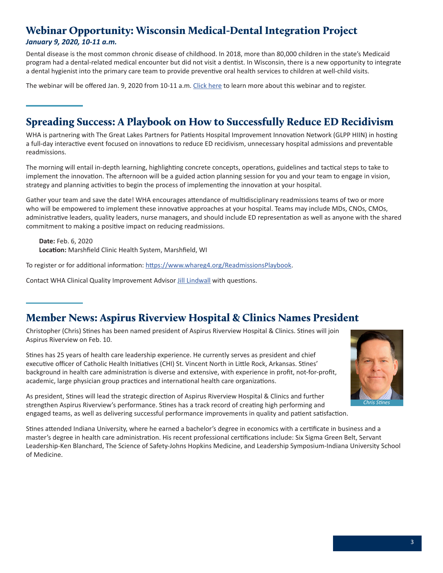## <span id="page-2-0"></span>Webinar Opportunity: Wisconsin Medical-Dental Integration Project

### *January 9, 2020, 10-11 a.m.*

Dental disease is the most common chronic disease of childhood. In 2018, more than 80,000 children in the state's Medicaid program had a dental-related medical encounter but did not visit a dentist. In Wisconsin, there is a new opportunity to integrate a dental hygienist into the primary care team to provide preventive oral health services to children at well-child visits.

The webinar will be offered Jan. 9, 2020 from 10-11 a.m. [Click here](https://www.wha.org/AboutWHA/CalendarofEvents/Webinar-Online-Education/Wisconsin-Medical-Dental-Integration-Project-(WI-M) to learn more about this webinar and to register.

## Spreading Success: A Playbook on How to Successfully Reduce ED Recidivism

WHA is partnering with The Great Lakes Partners for Patients Hospital Improvement Innovation Network (GLPP HIIN) in hosting a full-day interactive event focused on innovations to reduce ED recidivism, unnecessary hospital admissions and preventable readmissions.

The morning will entail in-depth learning, highlighting concrete concepts, operations, guidelines and tactical steps to take to implement the innovation. The afternoon will be a guided action planning session for you and your team to engage in vision, strategy and planning activities to begin the process of implementing the innovation at your hospital.

Gather your team and save the date! WHA encourages attendance of multidisciplinary readmissions teams of two or more who will be empowered to implement these innovative approaches at your hospital. Teams may include MDs, CNOs, CMOs, administrative leaders, quality leaders, nurse managers, and should include ED representation as well as anyone with the shared commitment to making a positive impact on reducing readmissions.

**Date:** Feb. 6, 2020 **Location:** Marshfield Clinic Health System, Marshfield, WI

To register or for additional information:<https://www.whareg4.org/ReadmissionsPlaybook>.

Contact WHA Clinical Quality Improvement Advisor [Jill Lindwall](mailto:jlindwall@wha.org) with questions.

## Member News: Aspirus Riverview Hospital & Clinics Names President

Christopher (Chris) Stines has been named president of Aspirus Riverview Hospital & Clinics. Stines will join Aspirus Riverview on Feb. 10.

Stines has 25 years of health care leadership experience. He currently serves as president and chief executive officer of Catholic Health Initiatives (CHI) St. Vincent North in Little Rock, Arkansas. Stines' background in health care administration is diverse and extensive, with experience in profit, not-for-profit, academic, large physician group practices and international health care organizations.



As president, Stines will lead the strategic direction of Aspirus Riverview Hospital & Clinics and further strengthen Aspirus Riverview's performance. Stines has a track record of creating high performing and engaged teams, as well as delivering successful performance improvements in quality and patient satisfaction.

Stines attended Indiana University, where he earned a bachelor's degree in economics with a certificate in business and a master's degree in health care administration. His recent professional certifications include: Six Sigma Green Belt, Servant Leadership-Ken Blanchard, The Science of Safety-Johns Hopkins Medicine, and Leadership Symposium-Indiana University School of Medicine.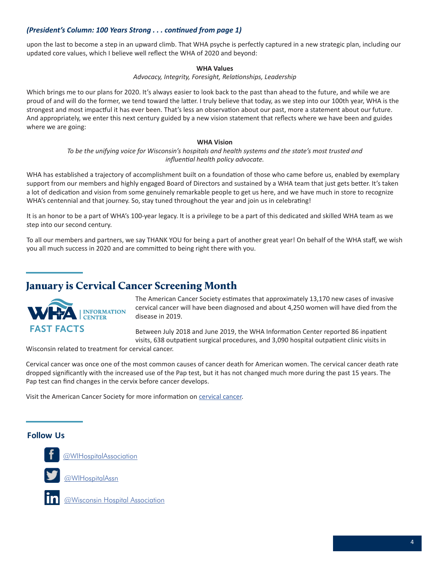### <span id="page-3-0"></span>*(President's Column: 100 Years Strong . . . continued from page 1)*

upon the last to become a step in an upward climb. That WHA psyche is perfectly captured in a new strategic plan, including our updated core values, which I believe well reflect the WHA of 2020 and beyond:

### **WHA Values**

#### *Advocacy, Integrity, Foresight, Relationships, Leadership*

Which brings me to our plans for 2020. It's always easier to look back to the past than ahead to the future, and while we are proud of and will do the former, we tend toward the latter. I truly believe that today, as we step into our 100th year, WHA is the strongest and most impactful it has ever been. That's less an observation about our past, more a statement about our future. And appropriately, we enter this next century guided by a new vision statement that reflects where we have been and guides where we are going:

#### **WHA Vision**

*To be the unifying voice for Wisconsin's hospitals and health systems and the state's most trusted and influential health policy advocate.*

WHA has established a trajectory of accomplishment built on a foundation of those who came before us, enabled by exemplary support from our members and highly engaged Board of Directors and sustained by a WHA team that just gets better. It's taken a lot of dedication and vision from some genuinely remarkable people to get us here, and we have much in store to recognize WHA's centennial and that journey. So, stay tuned throughout the year and join us in celebrating!

It is an honor to be a part of WHA's 100-year legacy. It is a privilege to be a part of this dedicated and skilled WHA team as we step into our second century.

To all our members and partners, we say THANK YOU for being a part of another great year! On behalf of the WHA staff, we wish you all much success in 2020 and are committed to being right there with you.

## January is Cervical Cancer Screening Month



The American Cancer Society estimates that approximately 13,170 new cases of invasive cervical cancer will have been diagnosed and about 4,250 women will have died from the disease in 2019.

Between July 2018 and June 2019, the WHA Information Center reported 86 inpatient visits, 638 outpatient surgical procedures, and 3,090 hospital outpatient clinic visits in

Wisconsin related to treatment for cervical cancer.

Cervical cancer was once one of the most common causes of cancer death for American women. The cervical cancer death rate dropped significantly with the increased use of the Pap test, but it has not changed much more during the past 15 years. The Pap test can find changes in the cervix before cancer develops.

Visit the American Cancer Society for more information on [cervical cancer.](https://www.cancer.org/cancer/cervical-cancer.html)

## **Follow Us Follow Us**

**Follow U[s](https://twitter.com/WIHospitalAssn)**



**FO***[@WIHospitalAssociation](https://www.facebook.com/WIHospitalAssociation/)* 

[@WIHospitalAssn](https://twitter.com/WIHospitalAssn)



[@Wisconsin Hospital Association](https://www.linkedin.com/company/4566526/admin/)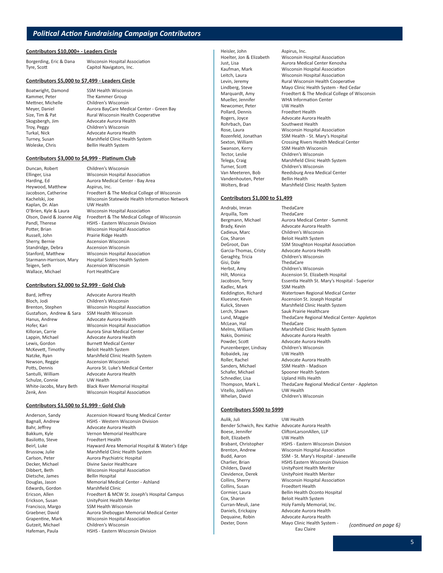**Association** 

#### **Contributors \$10,000+ - Leaders Circle**

| Borgerding, Eric & Dana | <b>Wisconsin Hospital Ass</b> |
|-------------------------|-------------------------------|
| Tyre, Scott             | Capitol Navigators, Inc.      |

#### **Contributors \$5,000 to \$7,499 - Leaders Circle**

Boatwright, Damond SSM Health Wisconsin Kammer, Peter The Kammer Group Mettner, Michelle Children's Wisconsin Meyer, Daniel **Aurora BayCare Medical Center - Green Bay**<br>Size, Tim & Pat **Aural Wisconsin Health Cooperative** Rural Wisconsin Health Cooperative Skogsbergh, Jim Advocate Aurora Health Troy, Peggy Children's Wisconsin Turkal, Nick **Advocate Aurora Health** Turney, Susan Marshfield Clinic Health System Woleske, Chris Bellin Health System

#### **Contributors \$3,000 to \$4,999 - Platinum Club**

Duncan, Robert Children's Wisconsin Ellinger, Lisa Wisconsin Hospital Association Heywood, Matthew Aspirus, Inc. Kaplan, Dr. Alan UW Health<br>O'Brien, Kyle & Laura UVisconsin H Potter, Brian Wisconsin Hospital Association<br>
Russell, John Prairie Ridge Health Sherry, Bernie **Ascension Wisconsin** Standridge, Debra **Ascension Wisconsin** Stanford, Matthew Wisconsin Hospital Association Starmann-Harrison, Mary Hospital Sisters Health System<br>Teigen, Seth Macension Wisconsin Wallace, Michael Fort HealthCare

Harding, Ed **Aurora Medical Center - Bay Area** Jacobson, Catherine Froedtert & The Medical College of Wisconsin Kachelski, Joe Wisconsin Statewide Health Information Network **Wisconsin Hospital Association** Olson, David & Joanne Alig Froedtert & The Medical College of Wisconsin Pandl, Therese **HSHS** - Eastern Wisconsin Division Prairie Ridge Health Ascension Wisconsin

#### **Contributors \$2,000 to \$2,999 - Gold Club**

Bard, Jeffrey **Advocate Aurora Health** Bloch, Jodi Children's Wisconsin Gustafson, Andrew & Sara SSM Health Wisconsin Hanus, Andrew Advocate Aurora Health Killoran, Carrie **Aurora Sinai Medical Center** Lappin, Michael **Advocate Aurora Health** Lewis, Gordon Burnett Medical Center McKevett, Timothy Beloit Health System Newson, Reggie **Ascension Wisconsin** Santulli, William Advocate Aurora Health Schulze, Connie UW Health<br>White-Jacobs, Mary Beth Black River

#### **Contributors \$1,500 to \$1,999 - Gold Club**

Anderson, Sandy Ascension Howard Young Medical Center Dietsche, James

Brenton, Stephen Wisconsin Hospital Association Hofer, Kari Wisconsin Hospital Association Natzke, Ryan Marshfield Clinic Health System Potts, Dennis **Aurora St. Luke's Medical Center Black River Memorial Hospital** Zenk, Ann Wisconsin Hospital Association

Bagnall, Andrew HSHS - Western Wisconsin Division Bahr, Jeffrey **Advocate Aurora Health** Bakkum, Kyle **Vernon Memorial Healthcare** Basilotto, Steve Froedtert Health Beirl, Luke Hayward Area Memorial Hospital & Water's Edge Brussow, Julie Marshfield Clinic Health System Carlson, Peter Aurora Psychiatric Hospital Decker, Michael Divine Savior Healthcare Dibbert, Beth Wisconsin Hospital Association Douglas, Jason Memorial Medical Center - Ashland Edwards, Gordon Marshfield Clinic Ericson, Allen Froedtert & MCW St. Joseph's Hospital Campus Erickson, Susan UnityPoint Health Meriter Francisco, Margo SSM Health Wisconsin Graebner, David Aurora Sheboygan Memorial Medical Center Grapentine, Mark Wisconsin Hospital Association Gutzeit, Michael Children's Wisconsin Hafeman, Paula HSHS - Eastern Wisconsin Division

Heisler, John Aspirus, Inc. Newcomer, Peter UW Health Pollard, Dennis Froedtert Health Rogers, Joyce **Advocate Aurora Health** Rohrbach, Dan Southwest Health Swanson, Kerry SSM Health Wisconsin<br>Tector, Leslie Children's Wisconsin Vandenhouten, Peter Bellin Health

Hoelter, Jon & Elizabeth Wisconsin Hospital Association<br>Just, Lisa **Michael Association**<br>Aurora Medical Center Kenosha Aurora Medical Center Kenosha Kaufman, Mark Wisconsin Hospital Association Leitch, Laura Wisconsin Hospital Association Levin, Jeremy Rural Wisconsin Health Cooperative Lindberg, Steve Mayo Clinic Health System - Red Cedar Marquardt, Amy Froedtert & The Medical College of Wisconsin<br>Mueller, Jennifer WHA Information Center WHA Information Center Rose, Laura **Misconsin Hospital Association**<br>Rozenfeld, Jonathan SSM Health - St. Mary's Hospita SSM Health - St. Mary's Hospital Sexton, William Crossing Rivers Health Medical Center Children's Wisconsin Telega, Craig **Marshfield Clinic Health System**<br>Turner, Scott Children's Wisconsin Children's Wisconsin Van Meeteren, Bob Reedsburg Area Medical Center Wolters, Brad Marshfield Clinic Health System

#### **Contributors \$1,000 to \$1,499**

Andrabi, Imran ThedaCare Arquilla, Tom ThedaCare Brady, Kevin Advocate Aurora Health Cadieux, Marc Children's Wisconsin Cox, Sharon Beloit Health System Geraghty, Tricia Children's Wisconsin Gisi, Dale ThedaCare Herbst, Amy Children's Wisconsin Kadlec, Mark SSM Health<br>Keddington, Richard Watertown Lerch, Shawn Sauk Prairie Healthcare<br>
Lund, Maggie ThedaCare Regional Me McLean, Hal ThedaCare<br>
Melms, William Marshfield Nakis, Dominic Advocate Aurora Health Punzenberger, Lindsay Children's Wisconsin Robaidek, Jay Roller, Rachel **Advocate Aurora Health** Sanders, Michael SSM Health - Madison Schafer, Michael Spooner Health System Schnedler, Lisa Upland Hills Health Vitello, Jodilynn UW Health Whelan, David Children's Wisconsin

# Bergmann, Michael Aurora Medical Center - Summit DeGroot, Dan SSM Stoughton Hospital Association<br>Garcia-Thomas, Cristy Advocate Aurora Health Advocate Aurora Health Hilt, Monica **Ascension St. Elizabeth Hospital** Jacobson, Terry Essentia Health St. Mary's Hospital - Superior Watertown Regional Medical Center Kluesner, Kevin Ascension St. Joseph Hospital Kulick, Steven Marshfield Clinic Health System ThedaCare Regional Medical Center- Appleton Marshfield Clinic Health System Powder, Scott Advocate Aurora Health Thompson, Mark L. ThedaCare Regional Medical Center - Appleton

#### **Contributors \$500 to \$999**

Aulik, Juli UW Health Bender Schwich, Rev. Kathie Advocate Aurora Health Boese, Jennifer CliftonLarsonAllen, LLP<br>Bolt, Elizabeth CUW Health Bolt, Elizabeth Collins, Susan Froedtert Health<br>
Cormier, Laura Bellin Health Occ Cox, Sharon Beloit Health System<br>Curran-Meuli, Jane Holy Family Memoria Daniels, Erickajoy Advocate Aurora Health Dequaine, Robin Advocate Aurora Health

Brabant, Christopher HSHS - Eastern Wisconsin Division Brenton, Andrew Wisconsin Hospital Association Budd, Aaron SSM - St. Mary's Hospital - Janesville Charlier, Brian HSHS Eastern Wisconsin Division Childers, David UnityPoint Health Meriter Clevidence, Derek UnityPoint Health Meriter Collins, Sherry Wisconsin Hospital Association Bellin Health Oconto Hospital Holy Family Memorial, Inc. Dexter, Donn Mayo Clinic Health System -<br>Eau Claire

(continued on page 6)